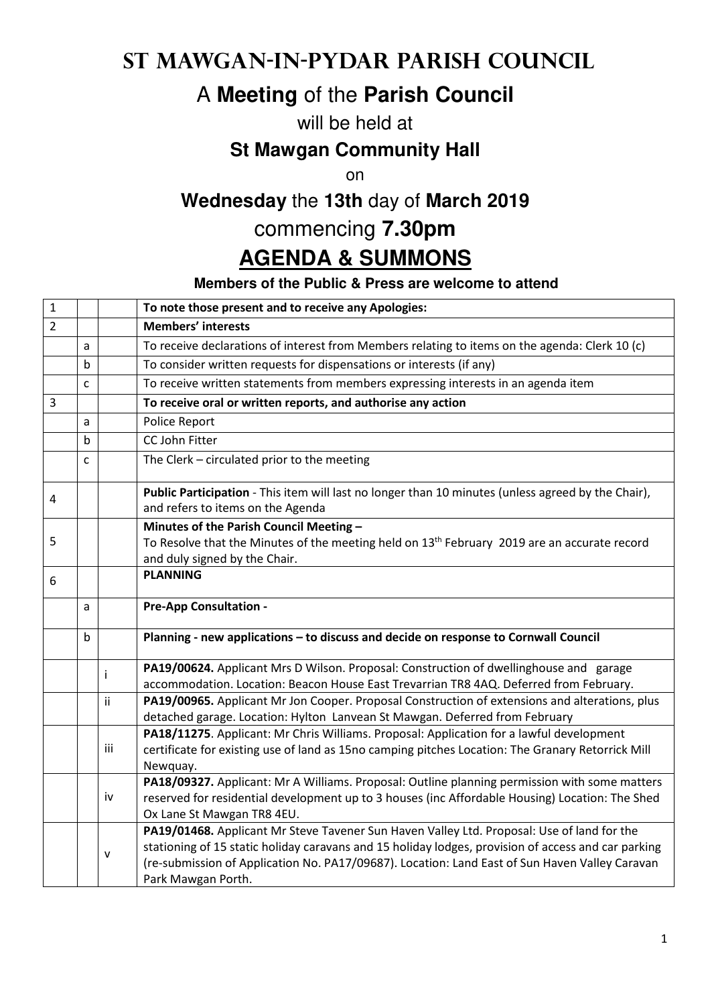## **St Mawgan-in-Pydar Parish Council**

# A **Meeting** of the **Parish Council**

#### will be held at

#### **St Mawgan Community Hall**

on

## **Wednesday** the **13th** day of **March 2019**

### commencing **7.30pm**

## **AGENDA & SUMMONS**

#### **Members of the Public & Press are welcome to attend**

| $\mathbf{1}$   |   |              | To note those present and to receive any Apologies:                                                                                     |
|----------------|---|--------------|-----------------------------------------------------------------------------------------------------------------------------------------|
| $\overline{2}$ |   |              | <b>Members' interests</b>                                                                                                               |
|                | a |              | To receive declarations of interest from Members relating to items on the agenda: Clerk 10 (c)                                          |
|                | b |              | To consider written requests for dispensations or interests (if any)                                                                    |
|                | C |              | To receive written statements from members expressing interests in an agenda item                                                       |
| 3              |   |              | To receive oral or written reports, and authorise any action                                                                            |
|                | a |              | Police Report                                                                                                                           |
|                | b |              | CC John Fitter                                                                                                                          |
|                | C |              | The Clerk - circulated prior to the meeting                                                                                             |
| 4              |   |              | Public Participation - This item will last no longer than 10 minutes (unless agreed by the Chair),<br>and refers to items on the Agenda |
|                |   |              | Minutes of the Parish Council Meeting -                                                                                                 |
| 5              |   |              | To Resolve that the Minutes of the meeting held on 13 <sup>th</sup> February 2019 are an accurate record                                |
|                |   |              | and duly signed by the Chair.                                                                                                           |
| 6              |   |              | <b>PLANNING</b>                                                                                                                         |
|                | a |              | <b>Pre-App Consultation -</b>                                                                                                           |
|                | b |              | Planning - new applications - to discuss and decide on response to Cornwall Council                                                     |
|                |   | ÷            | PA19/00624. Applicant Mrs D Wilson. Proposal: Construction of dwellinghouse and garage                                                  |
|                |   |              | accommodation. Location: Beacon House East Trevarrian TR8 4AQ. Deferred from February.                                                  |
|                |   | ii           | PA19/00965. Applicant Mr Jon Cooper. Proposal Construction of extensions and alterations, plus                                          |
|                |   |              | detached garage. Location: Hylton Lanvean St Mawgan. Deferred from February                                                             |
|                |   |              | PA18/11275. Applicant: Mr Chris Williams. Proposal: Application for a lawful development                                                |
|                |   | iii          | certificate for existing use of land as 15no camping pitches Location: The Granary Retorrick Mill                                       |
|                |   |              | Newquay.<br>PA18/09327. Applicant: Mr A Williams. Proposal: Outline planning permission with some matters                               |
|                |   | iv           | reserved for residential development up to 3 houses (inc Affordable Housing) Location: The Shed                                         |
|                |   |              | Ox Lane St Mawgan TR8 4EU.                                                                                                              |
|                |   |              | PA19/01468. Applicant Mr Steve Tavener Sun Haven Valley Ltd. Proposal: Use of land for the                                              |
|                |   | $\mathsf{v}$ | stationing of 15 static holiday caravans and 15 holiday lodges, provision of access and car parking                                     |
|                |   |              | (re-submission of Application No. PA17/09687). Location: Land East of Sun Haven Valley Caravan                                          |
|                |   |              | Park Mawgan Porth.                                                                                                                      |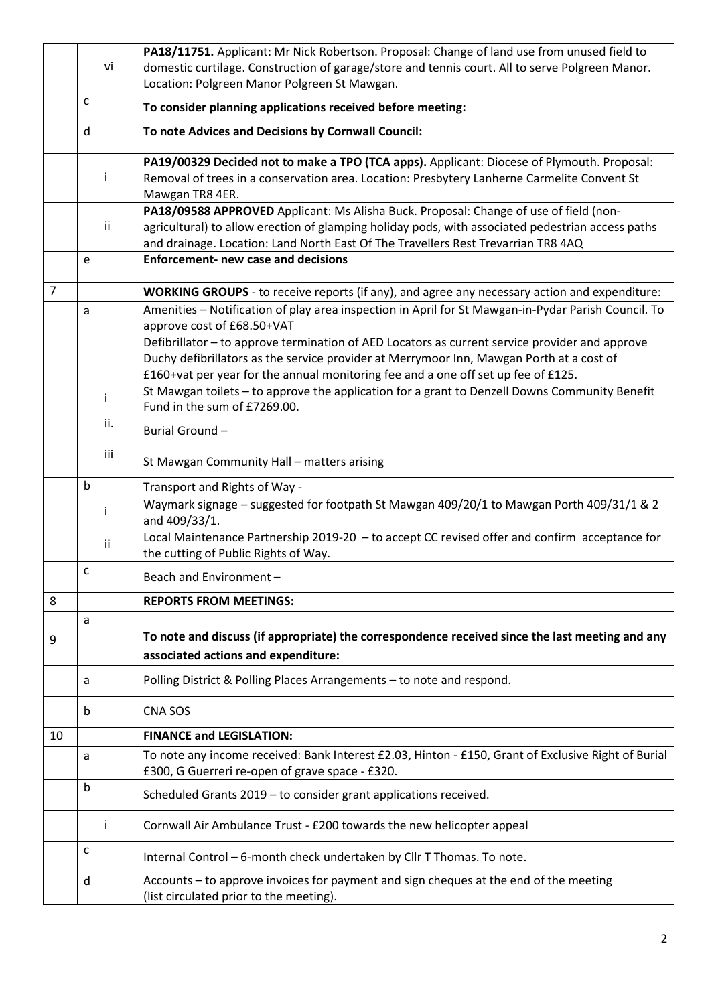|                |   |     | PA18/11751. Applicant: Mr Nick Robertson. Proposal: Change of land use from unused field to                                                                                   |
|----------------|---|-----|-------------------------------------------------------------------------------------------------------------------------------------------------------------------------------|
|                |   | vi  | domestic curtilage. Construction of garage/store and tennis court. All to serve Polgreen Manor.                                                                               |
|                |   |     | Location: Polgreen Manor Polgreen St Mawgan.                                                                                                                                  |
|                | C |     | To consider planning applications received before meeting:                                                                                                                    |
|                | d |     | To note Advices and Decisions by Cornwall Council:                                                                                                                            |
|                |   |     | PA19/00329 Decided not to make a TPO (TCA apps). Applicant: Diocese of Plymouth. Proposal:                                                                                    |
|                |   |     | Removal of trees in a conservation area. Location: Presbytery Lanherne Carmelite Convent St                                                                                   |
|                |   |     | Mawgan TR8 4ER.                                                                                                                                                               |
|                |   |     | PA18/09588 APPROVED Applicant: Ms Alisha Buck. Proposal: Change of use of field (non-                                                                                         |
|                |   | ii  | agricultural) to allow erection of glamping holiday pods, with associated pedestrian access paths                                                                             |
|                |   |     | and drainage. Location: Land North East Of The Travellers Rest Trevarrian TR8 4AQ                                                                                             |
|                | e |     | <b>Enforcement- new case and decisions</b>                                                                                                                                    |
| $\overline{7}$ |   |     | <b>WORKING GROUPS</b> - to receive reports (if any), and agree any necessary action and expenditure:                                                                          |
|                | a |     | Amenities - Notification of play area inspection in April for St Mawgan-in-Pydar Parish Council. To                                                                           |
|                |   |     | approve cost of £68.50+VAT                                                                                                                                                    |
|                |   |     | Defibrillator - to approve termination of AED Locators as current service provider and approve                                                                                |
|                |   |     | Duchy defibrillators as the service provider at Merrymoor Inn, Mawgan Porth at a cost of<br>£160+vat per year for the annual monitoring fee and a one off set up fee of £125. |
|                |   |     | St Mawgan toilets - to approve the application for a grant to Denzell Downs Community Benefit                                                                                 |
|                |   |     | Fund in the sum of £7269.00.                                                                                                                                                  |
|                |   | ii. | Burial Ground-                                                                                                                                                                |
|                |   | iii | St Mawgan Community Hall - matters arising                                                                                                                                    |
|                |   |     |                                                                                                                                                                               |
|                | b |     | Transport and Rights of Way -                                                                                                                                                 |
|                |   |     | Waymark signage - suggested for footpath St Mawgan 409/20/1 to Mawgan Porth 409/31/1 & 2<br>and 409/33/1.                                                                     |
|                |   | ii  | Local Maintenance Partnership 2019-20 - to accept CC revised offer and confirm acceptance for                                                                                 |
|                | с |     | the cutting of Public Rights of Way.                                                                                                                                          |
|                |   |     | Beach and Environment -                                                                                                                                                       |
| 8              |   |     | <b>REPORTS FROM MEETINGS:</b>                                                                                                                                                 |
|                | a |     |                                                                                                                                                                               |
| 9              |   |     | To note and discuss (if appropriate) the correspondence received since the last meeting and any<br>associated actions and expenditure:                                        |
|                | a |     | Polling District & Polling Places Arrangements - to note and respond.                                                                                                         |
|                | b |     | CNA SOS                                                                                                                                                                       |
| 10             |   |     | <b>FINANCE and LEGISLATION:</b>                                                                                                                                               |
|                | a |     | To note any income received: Bank Interest £2.03, Hinton - £150, Grant of Exclusive Right of Burial                                                                           |
|                |   |     | £300, G Guerreri re-open of grave space - £320.                                                                                                                               |
|                | b |     | Scheduled Grants 2019 - to consider grant applications received.                                                                                                              |
|                |   | Ť   | Cornwall Air Ambulance Trust - £200 towards the new helicopter appeal                                                                                                         |
|                | C |     | Internal Control - 6-month check undertaken by Cllr T Thomas. To note.                                                                                                        |
|                | d |     | Accounts - to approve invoices for payment and sign cheques at the end of the meeting                                                                                         |
|                |   |     | (list circulated prior to the meeting).                                                                                                                                       |